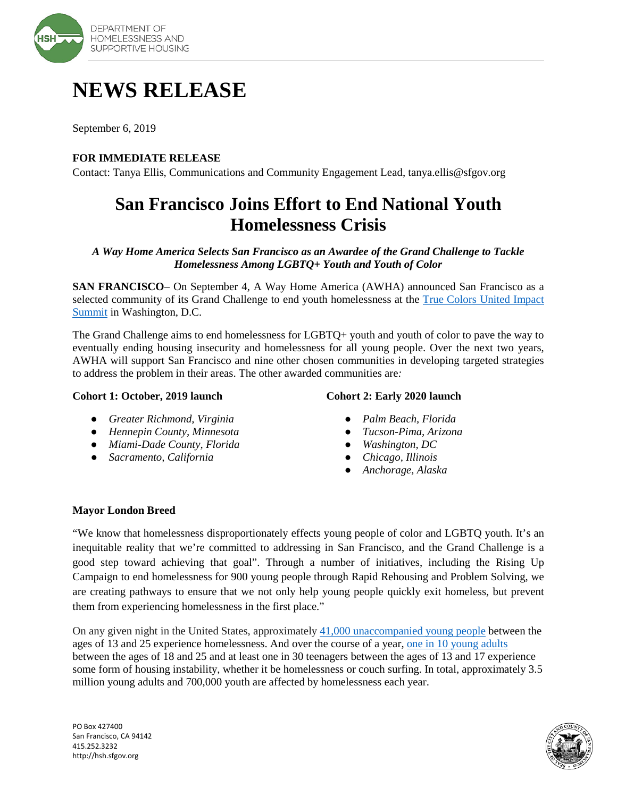

# **NEWS RELEASE**

September 6, 2019

### **FOR IMMEDIATE RELEASE**

Contact: Tanya Ellis, Communications and Community Engagement Lead, tanya.ellis@sfgov.org

# **San Francisco Joins Effort to End National Youth Homelessness Crisis**

*A Way Home America Selects San Francisco as an Awardee of the Grand Challenge to Tackle Homelessness Among LGBTQ+ Youth and Youth of Color*

**SAN FRANCISCO**– On September 4, A Way Home America (AWHA) announced San Francisco as a selected community of its Grand Challenge to end youth homelessness at the [True Colors United Impact](https://truecolorsunited.org/our-work/training-education/summit/)  [Summit](https://truecolorsunited.org/our-work/training-education/summit/) in Washington, D.C.

The Grand Challenge aims to end homelessness for LGBTQ+ youth and youth of color to pave the way to eventually ending housing insecurity and homelessness for all young people. Over the next two years, AWHA will support San Francisco and nine other chosen communities in developing targeted strategies to address the problem in their areas. The other awarded communities are*:*

#### **Cohort 1: October, 2019 launch**

## **Cohort 2: Early 2020 launch**

- *Greater Richmond, Virginia*
- *Hennepin County, Minnesota*
- *Miami-Dade County, Florida*
- *Sacramento, California*
- *Palm Beach, Florida*
- *Tucson-Pima, Arizona*
- *Washington, DC*
- *Chicago, Illinois*
- *Anchorage, Alaska*

#### **Mayor London Breed**

"We know that homelessness disproportionately effects young people of color and LGBTQ youth. It's an inequitable reality that we're committed to addressing in San Francisco, and the Grand Challenge is a good step toward achieving that goal". Through a number of initiatives, including the Rising Up Campaign to end homelessness for 900 young people through Rapid Rehousing and Problem Solving, we are creating pathways to ensure that we not only help young people quickly exit homeless, but prevent them from experiencing homelessness in the first place."

On any given night in the United States, approximately [41,000 unaccompanied](http://www.ncsl.org/research/human-services/homeless-and-runaway-youth.aspx) [young people](http://www.ncsl.org/research/human-services/homeless-and-runaway-youth.aspx) between the ages of 13 and 25 experience homelessness. And over the course of a year, one in [10 young adults](http://voicesofyouthcount.org/brief/national-estimates-of-youth-homelessness/) between the ages of 18 and 25 and at least one in 30 teenagers between the ages of 13 and 17 experience some form of housing instability, whether it be homelessness or couch surfing. In total, approximately 3.5 million young adults and 700,000 youth are affected by homelessness each year.